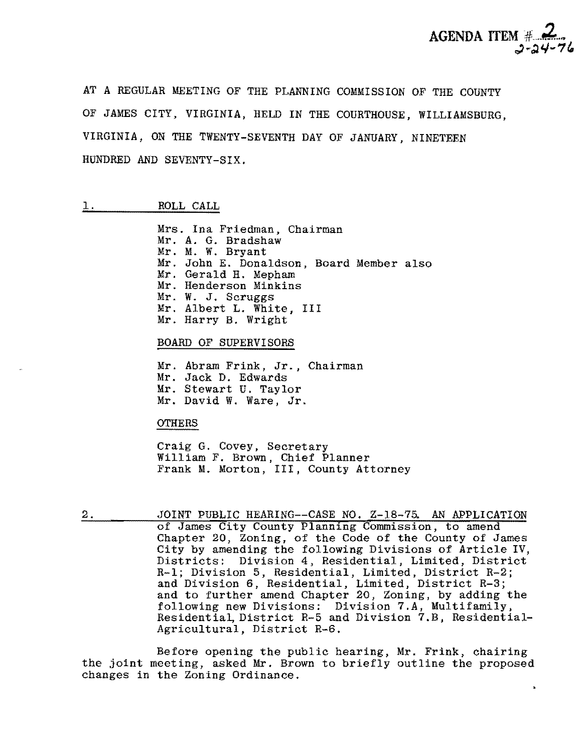

AT A REGULAR MEETING OF THE PLANNING COMMISSION OF THE COUNTY OF JAMES CITY, VIRGINIA, HELD IN THE COURTHOUSE, WILLIAMSBURG, VIRGINIA, ON THE TWENTY-SEVENTH DAY OF JANUARY, NINETEEN HUNDRED AND SEVENTY-SIX.

# 1. ROLL CALL

Mrs. Ina Friedman, Chairman Mr. A. G. Bradshaw Mr. M. W. Bryant Mr. John E. Donaldson, Board Member also Mr. Gerald H. Mepham Mr. Henderson Minkins Mr. W. J. Scruggs Mr. Albert L. White, III Mr. Harry B. Wright

### BOARD OF SUPERVISORS

Mr. Abram Frink, Jr., Chairman Mr. Jack D. Edwards Mr. Stewart U. Taylor Mr. David W. Ware, Jr.

## **OTHERS**

Craig G. Covey, Secretary William F. Brown, Chief Planner Frank M. Morton, III, County Attorney

2. JOINT PUBLIC HEARING--CASE NO. Z-18-75. AN APPLICATION of James City County Planning Commission, to amend Chapter 20, Zoning, of the Code of the County of James City by amending the following Divisions of Article IV, Districts: Division 4, Residential, Limited, District R-I; Division 5, Residential, Limited, District R-2; and Division 6, Residential, Limited, District R-3; and to further amend Chapter 20, Zoning, by adding the following new Divisions: Division 7.A, Multifamily, Residential, District R-5 and Division 7.B, Residential-Agricultural, District R-6.

Before opening the public hearing, Mr. Frink, chairing the joint meeting, asked Mr. Brown to briefly outline the proposed changes in the Zoning Ordinance.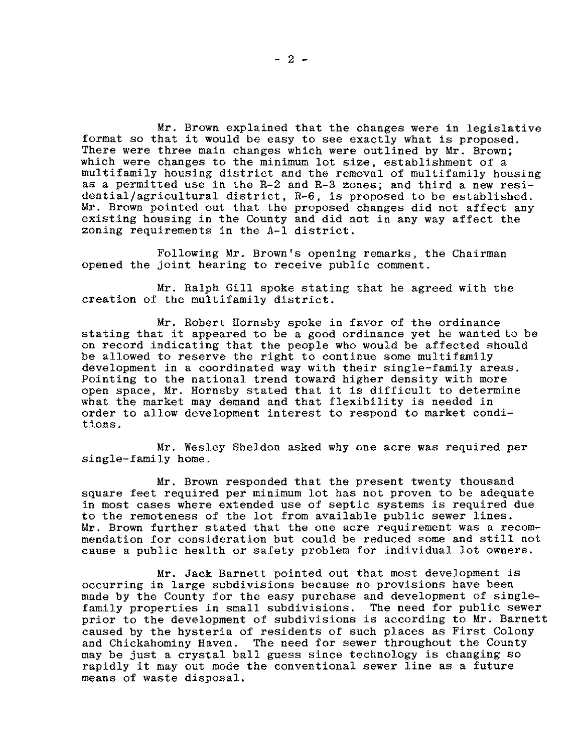Mr. Brown explained that the changes were in legislative format so that it would be easy to see exactly what is proposed. There were three main changes which were outlined by Mr. Brown; which were changes to the minimum lot size, establishment of a multifamily housing district and the removal of multifamily housing as a permitted use in the R-2 and R-3 zones; and third a new residential/agricultural district, R-6, is proposed to be established. Mr. Brown pointed out that the proposed changes did not affect any existing housing in the County and did not in any way affect the zoning requirements in the A-I district.

Following Mr. Brown's opening remarks, the Chairman opened the joint hearing to receive public comment.

Mr. Ralph Gill spoke stating that he agreed with the creation of the multifamily district.

Mr. Robert Hornsby spoke in favor of the ordinance stating that it appeared to be a good ordinance yet he wanted to be on record indicating that the people who would be affected should be allowed to reserve the right to continue some multifamily development in a coordinated way with their single-family areas. Pointing to the national trend toward higher density with more open space, Mr. Hornsby stated that it is difficult to determine what the market may demand and that flexibility is needed in order to allow development interest to respond to market conditions.

Mr. Wesley Sheldon asked why one acre was required per single-family home.

Mr. Brown responded that the present twenty thousand square feet required per minimum lot has not proven to be adequate in most cases where extended use of septic systems is required due to the remoteness of the lot from available public sewer lines. Mr. Brown further stated that the one acre requirement was a recommendation for consideration but could be reduced some and still not cause a public health or safety problem for individual lot owners.

Mr. Jack Barnett pointed out that most development is occurring in large subdivisions because no provisions have been made by the County for the easy purchase and development of singlefamily properties in small subdivisions. The need for public sewer prior to the development of subdivisions is according to Mr. Barnett caused by the hysteria of residents of such places as First Colony and Chickahominy Haven. The need for sewer throughout the County may be just a crystal ball guess since technology is changing so rapidly it may out mode the conventional sewer line as a future means of waste disposal.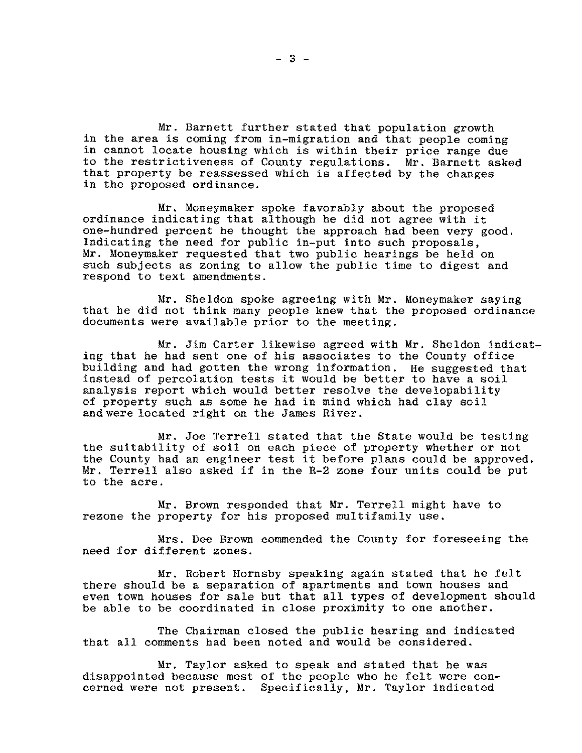Mr. Barnett further stated that population growth in the area is coming from in-migration and that people coming in cannot locate housing which is within their price range due to the restrictiveness of County regulations. Mr. Barnett asked that property be reassessed which is affected by the changes in the proposed ordinance.

Mr. Moneymaker spoke favorably about the proposed ordinance indicating that although he did not agree with it one-hundred percent he thought the approach had been very good. Indicating the need for public in-put into such proposals, Mr. Moneymaker requested that two public hearings be held on such subjects as zoning to allow the public time to digest and respond to text amendments.

Mr. Sheldon spoke agreeing with Mr. Moneymaker saying that he did not think many people knew that the proposed ordinance documents were available prior to the meeting.

Mr. Jim Carter likewise agreed with Mr. Sheldon indicating that he had sent one of his associates to the County office building and had gotten the wrong information. He suggested that instead of percolation tests it would be better to have a soil analysis report which would better resolve the developability of property such as some he had in mind which had clay soil and were located right on the James River.

Mr. Joe Terrell stated that the State would be testing the suitability of soil on each piece of property whether or not the County had an engineer test it before plans could be approved. Mr. Terrell also asked if in the R-2 zone four units could be put to the acre.

Mr. Brown responded that Mr. Terrell might have to rezone the property for his proposed multifamily use.

Mrs. Dee Brown commended the County for foreseeing the need for different zones.

Mr. Robert Hornsby speaking again stated that he felt there should be a separation of apartments and town houses and even town houses for sale but that all types of development should be able to be coordinated in close proximity to one another.

The Chairman closed the public hearing and indicated that all comments had been noted and would be considered.

Mr. Taylor asked to speak and stated that he was disappointed because most of the people who he felt were concerned were not present. Specifically. Mr. Taylor indicated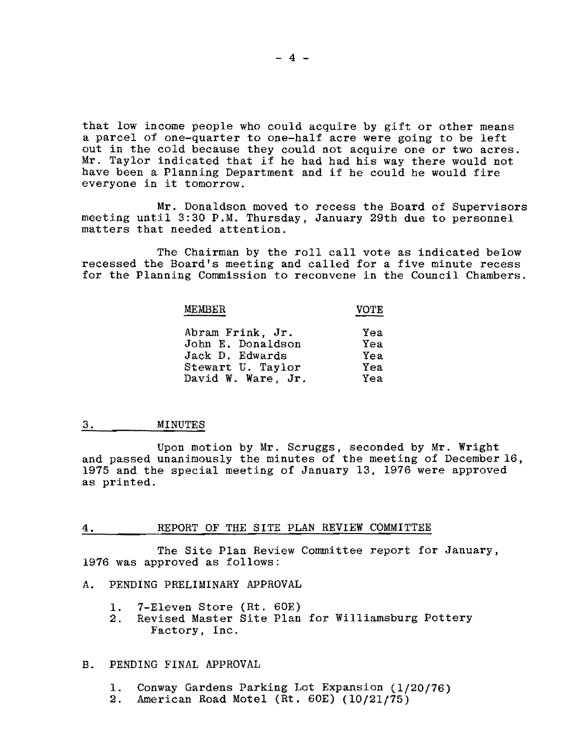that low income people who could acquire by gift or other means a parcel of one-quarter to one-half acre were going to be left out in the cold because they could not acquire one or two acres. out in the cord because they could not acquire one of two acress.<br>Mr. Taylor indicated that if he had had his way there would not have been a Planning Department and if he could he would fire everyone in it tomorrow.

Mr. Donaldson moved to recess the Board of Supervisors meeting until 3:30 P.M. Thursday, January 29th due to personnel matters that needed attention.

The Chairman by the roll call vote as indicated below recessed the Board's meeting and called for a five minute recess for the Planning Commission to reconvene in the Council Chambers.

| MEMBER | <b>VOTE</b> |
|--------|-------------|
|        |             |
|        |             |

| Abram Frink, Jr.   | Yea |
|--------------------|-----|
| John E. Donaldson  | Yea |
| Jack D. Edwards    | Yea |
| Stewart U. Taylor  | Yea |
| David W. Ware, Jr. | Yea |

# 3. MINUTES

Upon motion by Mr. Scruggs, seconded by Mr. Wright and passed unanimously the minutes of the meeting of December 16, 1975 and the special meeting of January 13, 1976 were approved as printed.

## 4. REPORT OF THE SITE PLAN REVIEW COMMITTEE

The Site Plan Review Committee report for January, 1976 was approved as follows:

## A. PENDING PRELIMINARY APPROVAL

- 1. 7-Eleven Store (Rt. 60E)<br>2. Revised Master Site Plan
- Revised Master Site Plan for Williamsburg Pottery Factory, Inc.

## B. PENDING FINAL APPROVAL

- 1. Conway Gardens Parking Lot Expansion (1/20/76)
- 2. American Road Motel (Rt. 60E) (10/21/75)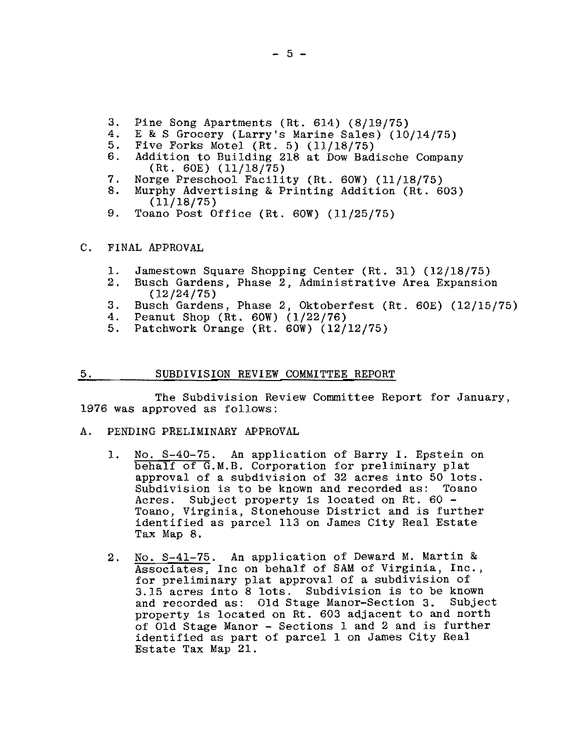- 3. Pine Song Apartments (Rt. 614) (8/19/75)<br>4. E & S Grocery (Larry's Marine Sales) (10
- 4. E & S Grocery (Larry's Marine Sales) (10/14/75)<br>5. Five Forks Motel (Rt. 5) (11/18/75)
- 5. Five Forks Motel (Rt. 5) (11/18/75)<br>6. Addition to Building 218 at Dow Bad
- Addition to Building 218 at Dow Badische Company (Rt. 60E) (11/18/75)
- 7. Norge Preschool Facility (Rt. 60W) (11/18/75)<br>8. Murphy Advertising & Printing Addition (Rt. 6
- Murphy Advertising & Printing Addition (Rt. 603) (11/18/75)
- 9. Toano Post Office (Rt. 60W) (11/25/75)

#### C. FINAL APPROVAL

- 1. Jamestown Square Shopping Center (Rt. 31) (12/18/75)<br>2. Busch Gardens, Phase 2. Administrative Area Expansion
- Busch Gardens, Phase 2, Administrative Area Expansion (12/24/75)
- 3. Busch Gardens, Phase 2, Oktoberfest (Rt. 60E) (12/15/75)<br>4. Peanut Shop (Rt. 60W) (1/22/76)
- 4. Peanut Shop (Rt. 60W) (1/22/76)<br>5. Patchwork Orange (Rt. 60W) (12/
- Patchwork Orange (Rt.  $60W$ ) (12/12/75)

#### 5. SUBDIVISION REVIEW COMMITTEE REPORT

1976 was approved as follows: The Subdivision Review Committee Report for January,

#### A. PENDING PRELIMINARY APPROVAL

- 1. No. S-40-75. An application of Barry I. Epstein on behalf of G.M.B. Corporation for preliminary plat approval of a subdivision of 32 acres into 50 lots. Subdivision is to be known and recorded as: Toano Acres. Subject property is located on Rt. 60 -Toano, Virginia, Stonehouse District and is further identified as parcel 113 on James City Real Estate Tax Map 8.
- 2. No. S-41-75. An application of Deward M. Martin & Associates, Inc on behalf of SAM of Virginia, Inc., for preliminary plat approval of a subdivision of 3.15 acres into 8 lots. Subdivision is to be known and recorded as: Old Stage Manor-Section 3. Subject property is located on Rt. 603 adjacent to and north of Old Stage Manor - Sections 1 and 2 and is further identified as part of parcel 1 on James City Real Estate Tax Map 21.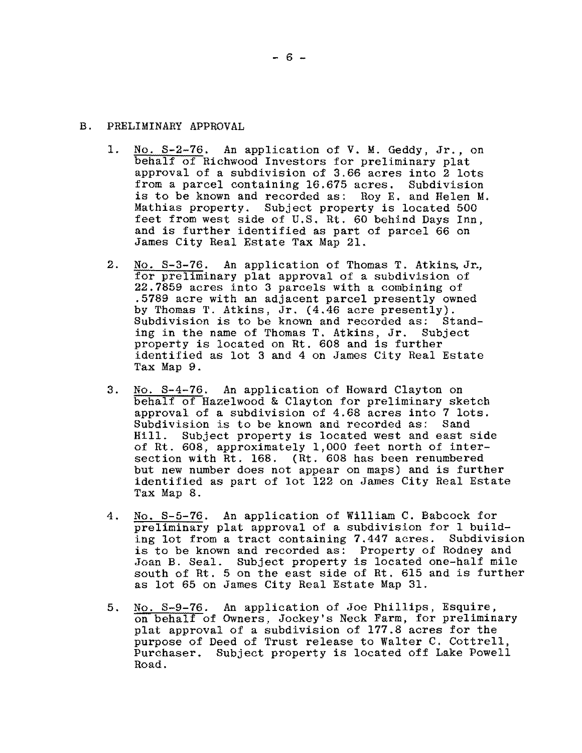# B. PRELIMINARY APPROVAL

- 1. No. S-2-76. An application of V. M. Geddy, Jr., on behalf of Richwood Investors for preliminary plat approval of a subdivision of 3.66 acres into 2 lots from a parcel containing 16.675 acres. Subdivision is to be known and recorded as: Roy E. and Helen M. Mathias property. Subject property is located 500 feet from west side of U.S. Rt. 60 behind Days Inn, and is further identified as part of parcel 66 on James City Real Estate Tax Map 21.
- 2. No. S-3-76. An application of Thomas T. Atkins, Jr., for preliminary plat approval of a subdivision of 22.7859 acres into 3 parcels with a combining of .5789 acre with an adjacent parcel presently owned by Thomas T. Atkins, Jr. (4.46 acre presently). Subdivision is to be known and recorded as; Standing in the name of Thomas T. Atkins, Jr. Subject property is located on Rt. 608 and is further identified as lot 3 and 4 on James City Real Estate Tax Map 9.
- 3. No. S-4-76. An application of Howard Clayton on behalf of Hazelwood & Clayton for preliminary sketch approval of a subdivision of 4.68 acres into 7 lots. Subdivision is to be known and recorded as:<br>Hill. Subject property is located west and Subject property is located west and east side of Rt. 608, approximately 1,000 feet north of intersection with Rt. 168. (Rt. 608 has been renumbered but new number does not appear on maps) and is further identified as part of lot 122 on James City Real Estate Tax Map 8.
- 4. No. S-5-76. An application of William C. Babcock for preliminary plat approval of a subdivision for 1 building lot from a tract containing  $7.447$  acres. is to be known and recorded as: Property of Rodney and Joan B. Seal. Subject property is located one-half mile south of Rt. 5 on the east side of Rt. 615 and is further as lot 65 on James City Real Estate Map 31.
- 5. No. S-9-76. An application of Joe Phillips, Esquire, on behalf of Owners, Jockey's Neck Farm, for preliminary plat approval of a subdivision of 177.8 acres for the purpose of Deed of Trust release to Walter C. Cottrell, Purchaser. Subject property is located off Lake Powell Road.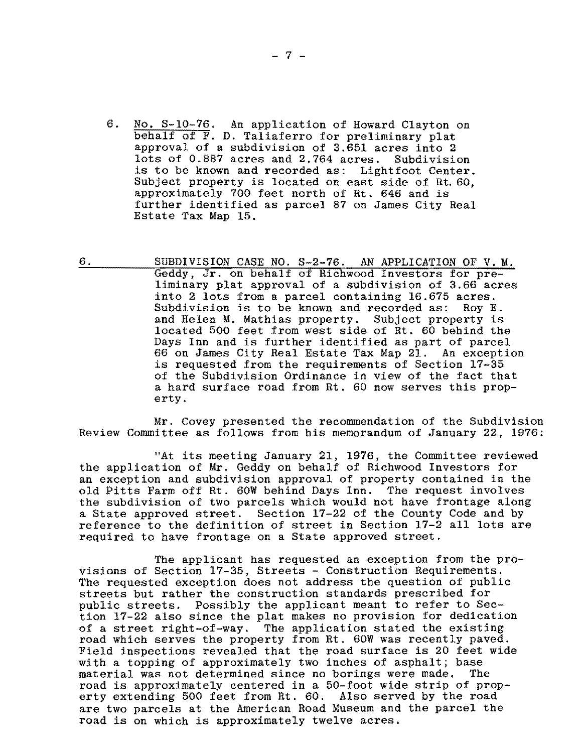- 6. No. S-10-76. An application of Howard Clayton on behalf of F. D. Taliaferro for preliminary plat approval of a subdivision of 3.651 acres into 2 lots of 0.887 acres and 2.764 acres. Subdivision is to be known and recorded as: Lightfoot Center. Subject property is located on east side of Rt. 60, approximately 700 feet north of Rt. 646 and is further identified as parcel 87 on James City Real Estate Tax Map 15.
- 6. SUBDIVISION CASE NO. S-2-76. AN APPLICATION OF V. M. Geddy, Jr. on behalf of Richwood Investors for preliminary plat approval of a subdivision of 3.66 acres into 2 lots from a parcel containing 16.675 acres. Subdivision is to be known and recorded as: Roy E. and Helen M. Mathias property. Subject property is located 500 feet from west side of Rt. 60 behind the Days Inn and is further identified as part of parcel 66 on James City Real Estate Tax Map 21. An exception is requested from the requirements of Section 17-35 of the Subdivision Ordinance in view of the fact that a hard surface road from Rt. 60 now serves this property.

Mr. Covey presented the recommendation of the Subdivision Review Committee as follows from his memorandum of January 22, 1976:

"At its meeting January 21, 1976, the Committee reviewed the application of Mr. Geddy on behalf of Richwood Investors for an exception and subdivision approval of property contained in the old Pitts Farm off Rt. 60W behind Days Inn. The request involves the subdivision of two parcels which would not have frontage along a State approved street. Section 17-22 of the County Code and by reference to the definition of street in Section 17-2 all lots are required to have frontage on a State approved street.

The applicant has requested an exception from the provisions of Section 17-35, Streets - Construction Requirements. The requested exception does not address the question of public streets but rather the construction standards prescribed for public streets. Possibly the applicant meant to refer to Section 17-22 also since the plat makes no provision for dedication of a street right-of-way. The application stated the existing road which serves the property from Rt. 60W was recently paved. Field inspections revealed that the road surface is 20 feet wide with a topping of approximately two inches of asphalt; base<br>material was not determined since no borings were made. The material was not determined since no borings were made. road is approximately centered in a 50-foot wide strip of property extending 500 feet from Rt. 60. Also served by the road are two parcels at the American Road Museum and the parcel the road is on which is approximately twelve acres.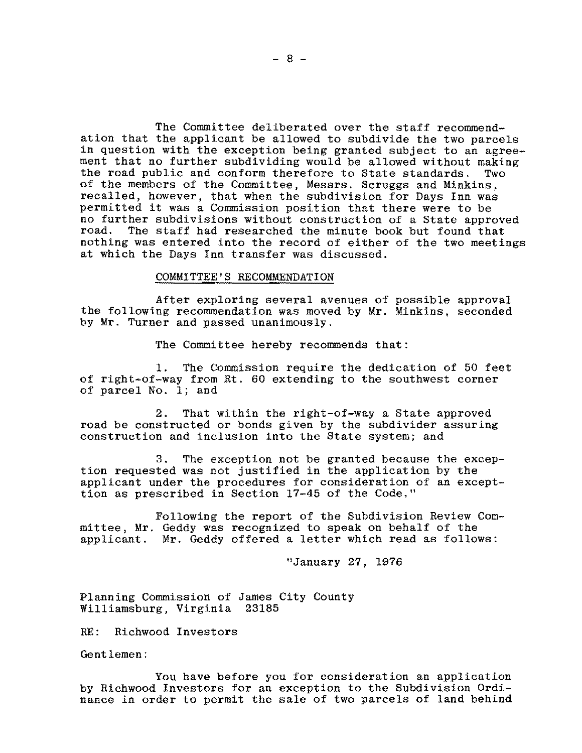The Committee deliberated over the staff recommendation that the applicant be allowed to subdivide the two parcels in question with the exception being granted subject to an agreement that no further subdividing would be allowed without making<br>the road public and conform therefore to State standards. Two the road public and conform therefore to State standards. of the members of the Committee, Messrs. Scruggs and Minkins, recalled, however, that when the subdivision for Days Inn was permitted it was a Commission position that there were to be no further subdivisions without construction of a State approved road. The staff had researched the minute book but found that The staff had researched the minute book but found that nothing was entered into the record of either of the two meetings at which the Days Inn transfer was discussed.

## COMMITTEE'S RECOMMENDATION

After exploring several avenues of possible approval the following recommendation was moved by Mr. Minkins, seconded by Mr. Turner and passed unanimously.

The Committee hereby recommends that:

1. The Commission require the dedication of 50 feet of right-of-way from Rt. 60 extending to the southwest corner of parcel No.1; and

2. That within the right-of-way a State approved road be constructed or bonds given by the subdivider assuring construction and inclusion into the State system; and

3. The exception not be granted because the exception requested was not justified in the application by the applicant under the procedures for consideration of an excepttion as prescribed in Section 17-45 of the Code."

Following the report of the Subdivision Review Committee, Mr. Geddy was recognized to speak on behalf of the applicant. Mr. Geddy offered a letter which read as follows:

"January 27, 1976

Planning Commission of James City County Williamsburg, Virginia 23185

RE: Richwood Investors

Gentlemen:

You have before you for consideration an application by Richwood Investors for an exception to the Subdivision Ordinance in order to permit the sale of two parcels of land behind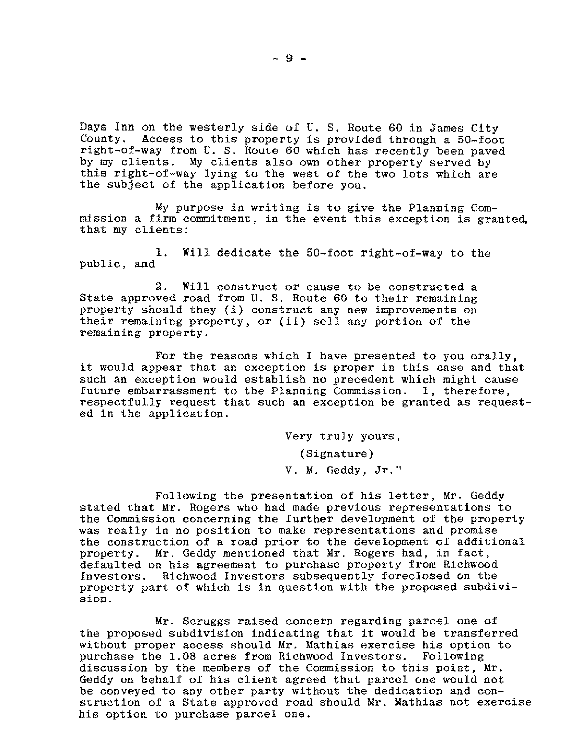Days Inn on the westerly side of U. S. Route 60 in James City County. Access to this property is provided through a 50-foot right-of-way from U. S. Route 60 which has recently been paved by my clients. My clients also own other property served by this right-of-way lying to the west of the two lots which are the subject of the application before you.

My purpose in writing is to give the Planning Commission a firm commitment, in the event this exception is granted, that my clients:

1. Will dedicate the 50-foot right-of-way to the public, and

2. Will construct or cause to be constructed a State approved road from U. S. Route 60 to their remaining property should they (i) construct any new improvements on their remaining property, or (ii) sell any portion of the remaining property.

For the reasons which I have presented to you orally, it would appear that an exception is proper in this case and that such an exception would establish no precedent which might cause future embarrassment to the Planning Commission. I, therefore, respectfully request that such an exception be granted as requested in the application.

Very truly yours,

(Signature)

V. M. Geddy, Jr."

Following the presentation of his letter, Mr. Geddy stated that Mr. Rogers who had made previous representations to the Commission concerning the further development of the property was really in no position to make representations and promise the construction of a road prior to the development of additional property. Mr. Geddy mentioned that Mr. Rogers had, in fact, defaulted on his agreement to purchase property from Richwood Investors. Richwood Investors subsequently foreclosed on the property part of which is in question with the proposed subdivision.

Mr. Scruggs raised concern regarding parcel one of the proposed subdivision indicating that it would be transferred without proper access should Mr. Mathias exercise his option to purchase the 1.08 acres from Richwood Investors. Following discussion by the members of the Commission to this point, Mr. Geddy on behalf of his client agreed that parcel one would not be conveyed to any other party without the dedication and construction of a State approved road should Mr. Mathias not exercise his option to purchase parcel one.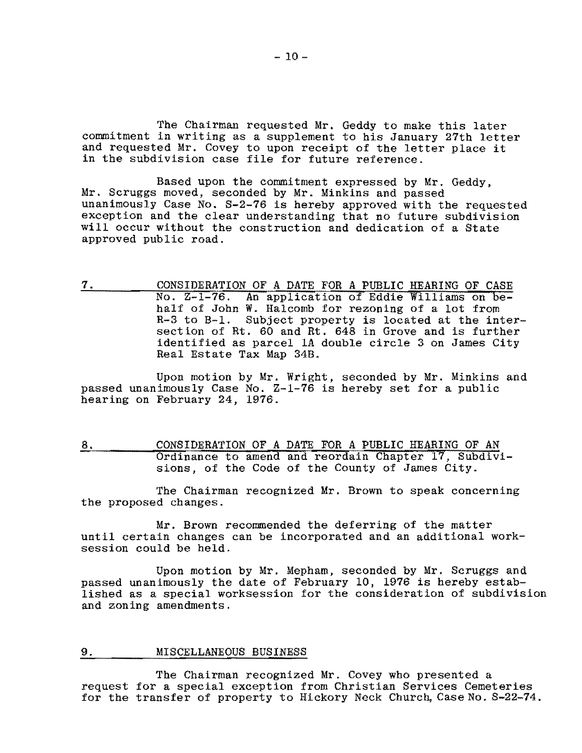The Chairman requested Mr. Geddy to make this later commitment in writing as a supplement to his January 27th letter and requested Mr. Covey to upon receipt of the letter place it in the subdivision case file for future reference.

Based upon the commitment expressed by Mr. Geddy, Mr. Scruggs moved, seconded by Mr. Minkins and passed unanimously Case No. S-2-76 is hereby approved with the requested exception and the clear understanding that no future subdivision will occur without the construction and dedication of a State approved public road.

7. CONSIDERATION OF A DATE FOR A PUBLIC HEARING OF CASE No. Z-1-76. An application of Eddie Williams on behalf of John W. Halcomb for rezoning of a lot from R-3 to B-1. Subject property is located at the intersection of Rt. 60 and Rt. 648 in Grove and is further identified as parcel lA double circle 3 on James City Real Estate Tax Map 34B.

Upon motion by Mr. Wright, seconded by Mr. Minkins and passed unanimously Case No. Z-1-76 is hereby set for a public hearing on February 24, 1976.

8. CONSIDERATION OF A DATE FOR A PUBLIC HEARING OF AN Ordinance to amend and reordain Chapter 17, Subdivisions, of the Code of the County of James City.

The Chairman recognized Mr. Brown to speak concerning the proposed changes.

Mr. Brown recommended the deferring of the matter until certain changes can be incorporated and an additional worksession could be held.

Upon motion by Mr. Mepham, seconded by Mr. Scruggs and passed unanimously the date of February 10, 1976 is hereby established as a special worksession for the consideration of subdivision and zoning amendments.

### 9. MISCELLANEOUS BUSINESS

The Chairman recognized Mr. Covey who presented a request for a special exception from Christian Services Cemeteries for the transfer of property to Hickory Neck Church, Case No. S-22-74.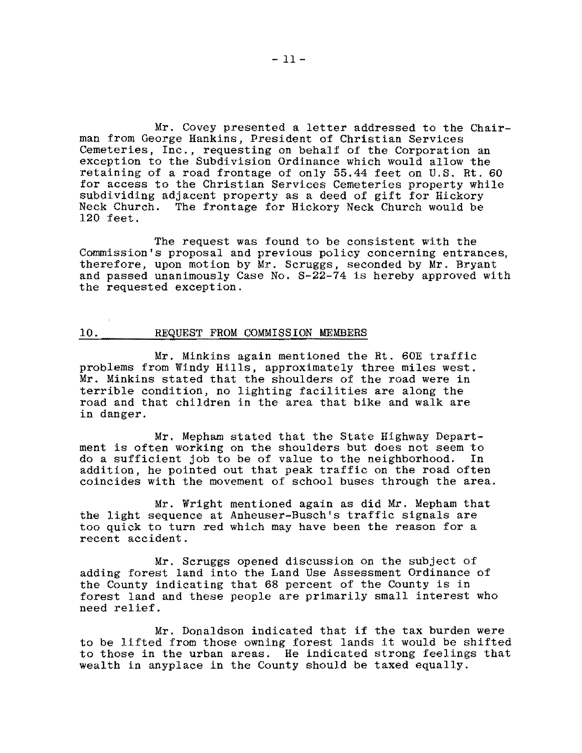Mr. Covey presented a letter addressed to the Chairman from George Hankins, President of Christian Services Cemeteries, Inc., requesting on behalf of the Corporation an exception to the Subdivision Ordinance which would allow the retaining of a road frontage of only 55.44 feet on U.S. Rt. 60 for access to the Christian Services Cemeteries property while subdividing adjacent property as a deed of gift for Hickory Neck Church. The frontage for Hickory Neck Church would be 120 feet.

The request was found to be consistent with the Commission's proposal and previous policy concerning entrances, therefore, upon motion by Mr. Scruggs, seconded by Mr. Bryant and passed unanimously Case No. S-22-74 is hereby approved with the requested exception.

### 10. REQUEST FROM COMMISSION MEMBERS

Mr. Minkins again mentioned the Rt. 60E traffic problems from Windy Hills, approximately three miles west. Mr. Minkins stated that the shoulders of the road were in terrible condition, no lighting facilities are along the road and that children in the area that bike and walk are in danger.

Mr. Mepham stated that the State Highway Department is often working on the shoulders but does not seem to do a sufficient job to be of value to the neighborhood. In addition, he pointed out that peak traffic on the road often coincides with the movement of school buses through the area.

Mr. Wright mentioned again as did Mr. Mepham that the light sequence at Anheuser-Busch's traffic signals are too quick to turn red which may have been the reason for a recent accident.

Mr. Scruggs opened discussion on the subject of adding forest land into the Land Use Assessment Ordinance of the County indicating that 68 percent of the County is in forest land and these people are primarily small interest who need relief.

Mr. Donaldson indicated that if the tax burden were to be lifted from those owning forest lands it would be shifted to those in the urban areas. He indicated strong feelings that wealth in anyplace in the County should be taxed equally.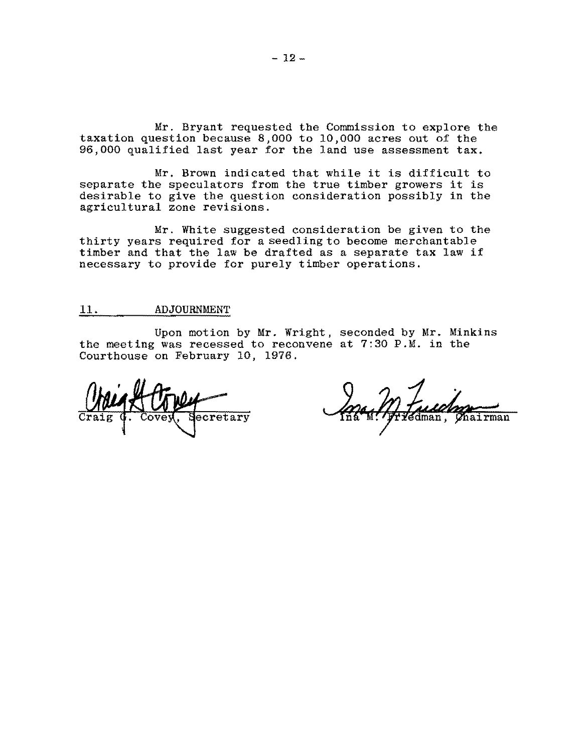Mr. Bryant requested the Commission to explore the taxation question because 8,000 to 10,000 acres out of the 96,000 qualified last year for the land use assessment tax.

Mr. Brown indicated that while it is difficult to separate the speculators from the true timber growers it is desirable to give the question consideration possibly in the agricultural zone revisions.

Mr. White suggested consideration be given to the thirty years required for a seedling to become merchantable timber and that the law be drafted as a separate tax law if necessary to provide for purely timber operations.

# 11. ADJOURNMENT

Upon motion by Mr. Wright, seconded by Mr. Minkins the meeting was recessed to reconvene at 7:30 P.M. in the Courthouse on February 10, 1976.

 $\overline{\mathtt{ecretary}}$ 

**Chairman**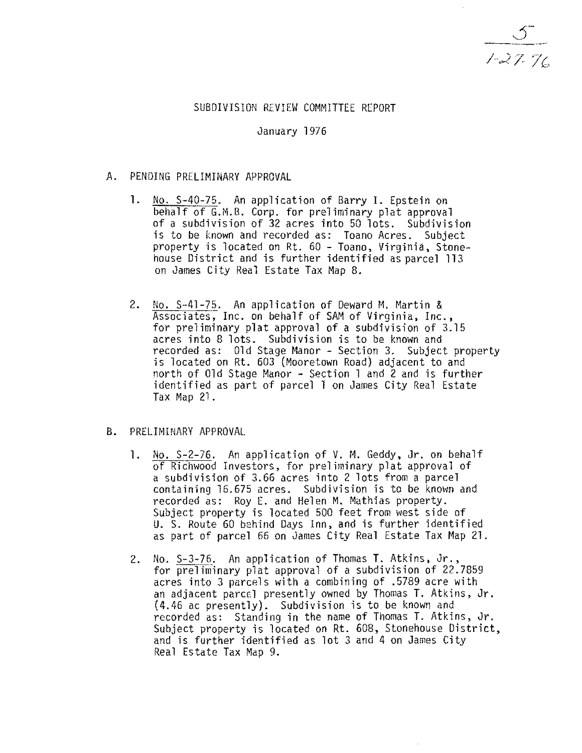$1 - 27 - 76$ 

# SUBDIVISION REVIEW COMMITTEE REPORT

## January 1976

## A. PENDING PRELIMINARY APPROVAL

- **1.**  No. 5-40-75. An application of Barry **I.** Epstein on behalf of G.M.B. Corp. for preliminary plat approval of a subdivision of 32 acres into 50 lots. Subdivision is to be known and recorded as: Toano Acres. Subject property is located on Rt. 60 - Toano, Virginia, Stonehouse District and is further identified as parcel 113 on James City Real Estate Tax Map 8.
- 2. No. 5-41-75. An application of Deward M. Martin & Associates, Inc. on behalf of SAM of Virginia, Inc., for preliminary plat approval of a subdivision of 3.15 acres into 8 lots. Subdivision is to be known and recorded as: Old Stage Manor - Section 3. Subject property is located on Rt. 603 (Mooretown Road) adjacent to and north of 01d Stage Manor  $-$  Section 1 and 2 and is further identified as part of parcel 1 on James City Real Estate Tax Map 21.
- B. PRELIMINARY APPROVAL
	- 1. No. S-2-76. An application of V. M. Geddy, Jr. on behalf of Richwood Investors, for preliminary plat approval of a subdivision of 3.66 acres into 2 lots from a parcel containing 16.675 acres. Subdivision is to be known and recorded as: Roy E. and Helen M. Mathias property. Subject property is located 500 feet from west side of U. S. Route 60 behind Days Inn, and is further identified as part of parcel 66 on James City Real Estate Tax Hap 21.
	- 2. No. 5-3-76. An application of Thomas T. Atkins, Jr., for preliminary plat approval of a subdivision of 22.7859 acres into 3 parcels with a combining of .5789 acre with an adjacent parc $\epsilon$ l presently owned by Thomas T. Atkins, Jr. (4.46 ac presently). Subdivision is to be known and recorded as: Standing in the name of Thomas T. Atkins, Jr. Subject property is located on Rt. 608, Stonehouse District, and is fUrther identified as lot 3 and 4 on James City Real Estate Tax Map 9.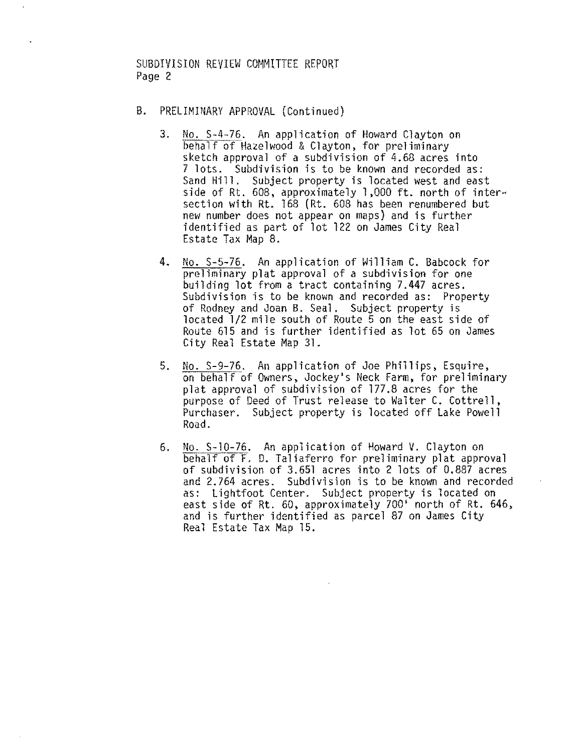SUBDIVISION REVIEW COMMITTEE REPORT Page 2

- B. PRELIMINARY APPROVAL (Continued)
	- 3. No. S-4-76. An application of Howard Clayton on<br>behalf of Hazelwood & Clayton, for preliminary sketch approval of a subdivision of  $4.68$  acres into 7 lots. Subdivision is to be known and recorded as: Sand Hill. Subject property is located west and east side of Rt. 608, approximately 1,000 ft. north of intersection with Rt. 168 (Rt. 608 has been renumbered but new number does not appear on maps) and is further identified as part of lot 122 on James City Real Estate Tax Map 8.
	- 4. No. S-5-76. An application of William C. Babcock for preliminary plat approval of a subdivision for one building lot from a tract containing 7.447 acres. Subdivision is to be known and recorded as: Property of Rodney and Joan B. Seal. Subject property is located 1/2 mile south of Route 5 on the east side of Route 615 and is further identified as lot 65 on James City Real Estate Map 31.
	- 5. No. S-9-76. An application of Joe Phillips, Esquire, on behalf of Owners, Jockey's Neck Farm, for preliminary plat approval of subdivision of 177.8 acres for the purpose of Deed of Trust release to Walter C. Cottrell, Purchaser. Subject property is located off Lake Powell Road.
	- 6. No. S-10-76. An application of Howard V. Clayton on behalf of F. D. Taliaferro for preliminary plat approval of subdivision of 3.651 acres into 2 lots of 0.887 acres and 2.764 acres. Subdivision is to be known and recorded as: Lightfoot Center. Subject property is located on east side of Rt. 60, approximately 700' north of Rt. 646, and is further identified as parcel 87 on James City Real Estate Tax Map 15.